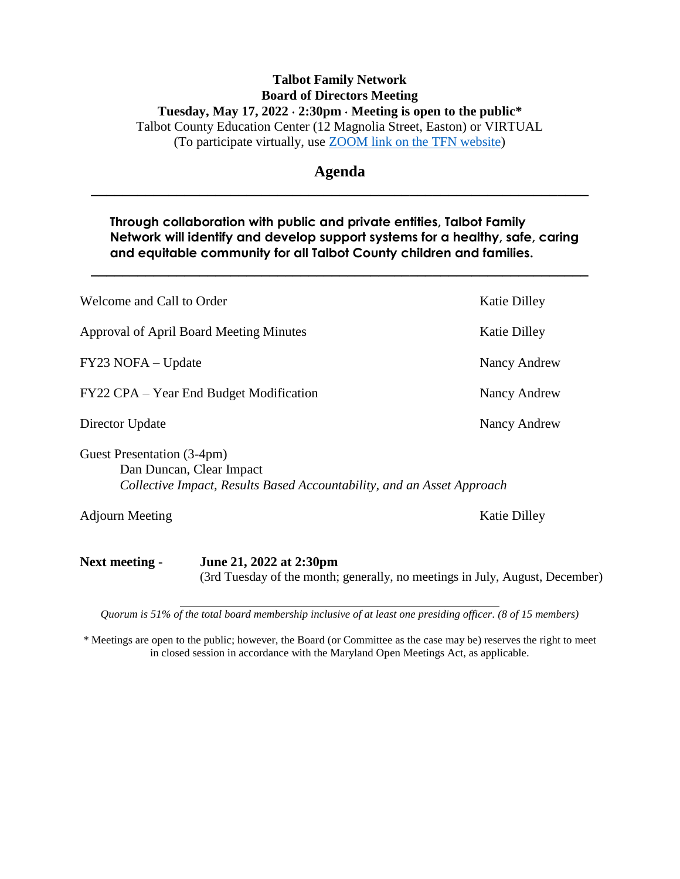# **Talbot Family Network Board of Directors Meeting Tuesday, May 17, 2022 2:30pm Meeting is open to the public\*** Talbot County Education Center (12 Magnolia Street, Easton) or VIRTUAL (To participate virtually, use [ZOOM link on the TFN website\)](https://healthytalbot.org/about/talbot-family-network/#:~:text=committee%20meetings%20virtually.-,Join%20Zoom%20Meeting,-https%3A//zoom.us)

# **Agenda \_\_\_\_\_\_\_\_\_\_\_\_\_\_\_\_\_\_\_\_\_\_\_\_\_\_\_\_\_\_\_\_\_\_\_\_\_\_\_\_\_\_\_\_\_\_\_\_\_\_\_\_\_\_\_\_\_\_\_\_\_\_\_\_**

# **Through collaboration with public and private entities, Talbot Family Network will identify and develop support systems for a healthy, safe, caring and equitable community for all Talbot County children and families.**

**\_\_\_\_\_\_\_\_\_\_\_\_\_\_\_\_\_\_\_\_\_\_\_\_\_\_\_\_\_\_\_\_\_\_\_\_\_\_\_\_\_\_\_\_\_\_\_\_\_\_\_\_\_\_\_\_\_\_\_\_\_\_\_\_**

| June 21, 2022 at 2:30pm<br>Next meeting -                                                                                        |                     |
|----------------------------------------------------------------------------------------------------------------------------------|---------------------|
| <b>Adjourn Meeting</b>                                                                                                           | <b>Katie Dilley</b> |
| Guest Presentation (3-4pm)<br>Dan Duncan, Clear Impact<br>Collective Impact, Results Based Accountability, and an Asset Approach |                     |
| Director Update                                                                                                                  | Nancy Andrew        |
| FY22 CPA – Year End Budget Modification                                                                                          | Nancy Andrew        |
| FY23 NOFA – Update                                                                                                               | Nancy Andrew        |
| Approval of April Board Meeting Minutes                                                                                          | <b>Katie Dilley</b> |
| Welcome and Call to Order                                                                                                        | <b>Katie Dilley</b> |

(3rd Tuesday of the month; generally, no meetings in July, August, December)

*Quorum is 51% of the total board membership inclusive of at least one presiding officer. (8 of 15 members)*

*\** Meetings are open to the public; however, the Board (or Committee as the case may be) reserves the right to meet in closed session in accordance with the Maryland Open Meetings Act, as applicable.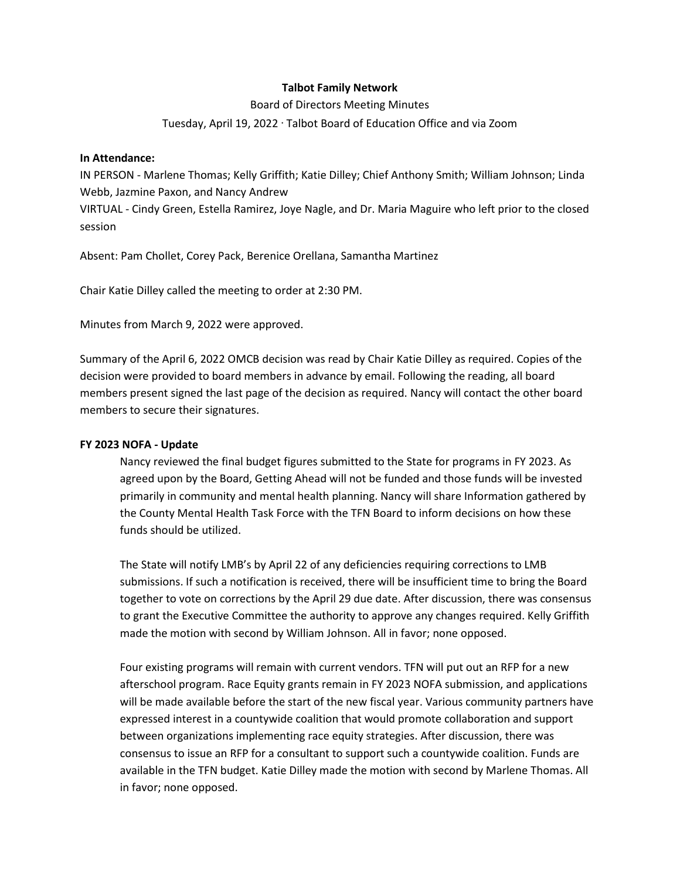### **Talbot Family Network**

#### Board of Directors Meeting Minutes

#### Tuesday, April 19, 2022 · Talbot Board of Education Office and via Zoom

#### **In Attendance:**

IN PERSON - Marlene Thomas; Kelly Griffith; Katie Dilley; Chief Anthony Smith; William Johnson; Linda Webb, Jazmine Paxon, and Nancy Andrew

VIRTUAL - Cindy Green, Estella Ramirez, Joye Nagle, and Dr. Maria Maguire who left prior to the closed session

Absent: Pam Chollet, Corey Pack, Berenice Orellana, Samantha Martinez

Chair Katie Dilley called the meeting to order at 2:30 PM.

Minutes from March 9, 2022 were approved.

Summary of the April 6, 2022 OMCB decision was read by Chair Katie Dilley as required. Copies of the decision were provided to board members in advance by email. Following the reading, all board members present signed the last page of the decision as required. Nancy will contact the other board members to secure their signatures.

#### **FY 2023 NOFA - Update**

Nancy reviewed the final budget figures submitted to the State for programs in FY 2023. As agreed upon by the Board, Getting Ahead will not be funded and those funds will be invested primarily in community and mental health planning. Nancy will share Information gathered by the County Mental Health Task Force with the TFN Board to inform decisions on how these funds should be utilized.

The State will notify LMB's by April 22 of any deficiencies requiring corrections to LMB submissions. If such a notification is received, there will be insufficient time to bring the Board together to vote on corrections by the April 29 due date. After discussion, there was consensus to grant the Executive Committee the authority to approve any changes required. Kelly Griffith made the motion with second by William Johnson. All in favor; none opposed.

Four existing programs will remain with current vendors. TFN will put out an RFP for a new afterschool program. Race Equity grants remain in FY 2023 NOFA submission, and applications will be made available before the start of the new fiscal year. Various community partners have expressed interest in a countywide coalition that would promote collaboration and support between organizations implementing race equity strategies. After discussion, there was consensus to issue an RFP for a consultant to support such a countywide coalition. Funds are available in the TFN budget. Katie Dilley made the motion with second by Marlene Thomas. All in favor; none opposed.